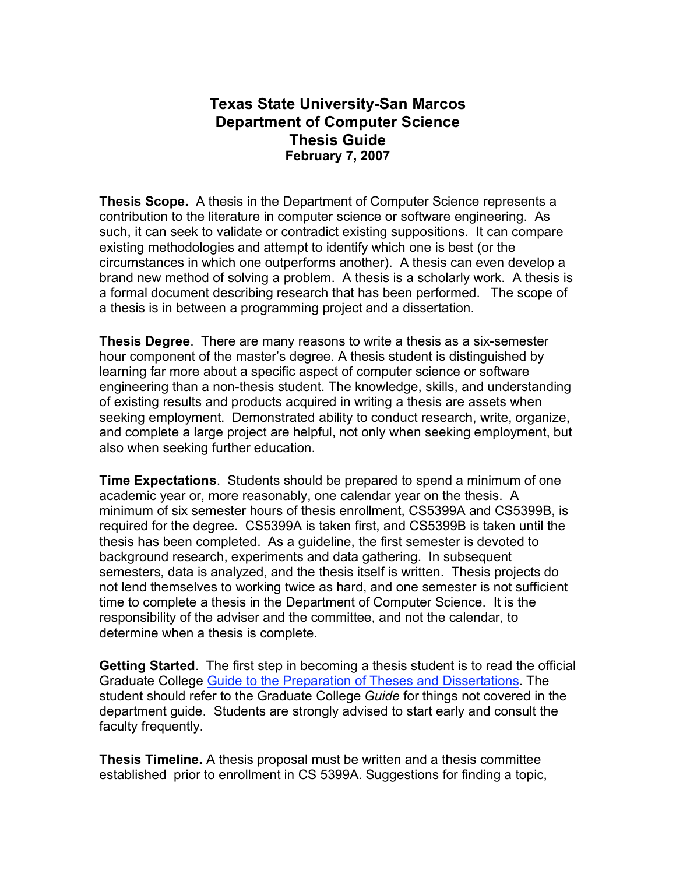## **Texas State University-San Marcos Department of Computer Science Thesis Guide February 7, 2007**

**Thesis Scope.** A thesis in the Department of Computer Science represents a contribution to the literature in computer science or software engineering. As such, it can seek to validate or contradict existing suppositions. It can compare existing methodologies and attempt to identify which one is best (or the circumstances in which one outperforms another). A thesis can even develop a brand new method of solving a problem. A thesis is a scholarly work. A thesis is a formal document describing research that has been performed. The scope of a thesis is in between a programming project and a dissertation.

**Thesis Degree**. There are many reasons to write a thesis as a six-semester hour component of the master's degree. A thesis student is distinguished by learning far more about a specific aspect of computer science or software engineering than a non-thesis student. The knowledge, skills, and understanding of existing results and products acquired in writing a thesis are assets when seeking employment. Demonstrated ability to conduct research, write, organize, and complete a large project are helpful, not only when seeking employment, but also when seeking further education.

**Time Expectations**. Students should be prepared to spend a minimum of one academic year or, more reasonably, one calendar year on the thesis. A minimum of six semester hours of thesis enrollment, CS5399A and CS5399B, is required for the degree. CS5399A is taken first, and CS5399B is taken until the thesis has been completed. As a guideline, the first semester is devoted to background research, experiments and data gathering. In subsequent semesters, data is analyzed, and the thesis itself is written. Thesis projects do not lend themselves to working twice as hard, and one semester is not sufficient time to complete a thesis in the Department of Computer Science. It is the responsibility of the adviser and the committee, and not the calendar, to determine when a thesis is complete.

**Getting Started**. The first step in becoming a thesis student is to read the official Graduate College Guide to the Preparation of Theses and Dissertations. The student should refer to the Graduate College *Guide* for things not covered in the department guide. Students are strongly advised to start early and consult the faculty frequently.

**Thesis Timeline.** A thesis proposal must be written and a thesis committee established prior to enrollment in CS 5399A. Suggestions for finding a topic,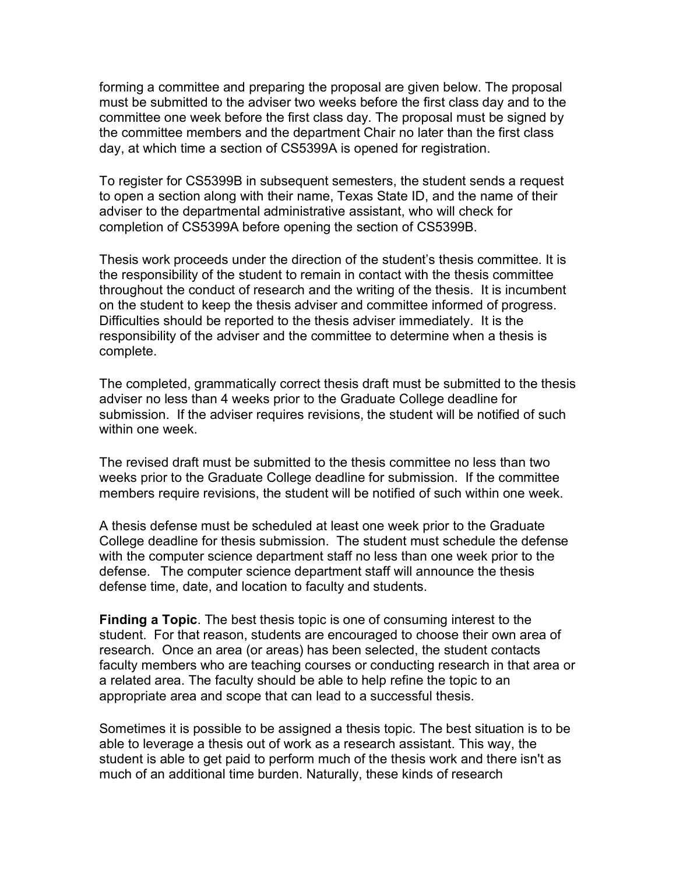forming a committee and preparing the proposal are given below. The proposal must be submitted to the adviser two weeks before the first class day and to the committee one week before the first class day. The proposal must be signed by the committee members and the department Chair no later than the first class day, at which time a section of CS5399A is opened for registration.

To register for CS5399B in subsequent semesters, the student sends a request to open a section along with their name, Texas State ID, and the name of their adviser to the departmental administrative assistant, who will check for completion of CS5399A before opening the section of CS5399B.

Thesis work proceeds under the direction of the student's thesis committee. It is the responsibility of the student to remain in contact with the thesis committee throughout the conduct of research and the writing of the thesis. It is incumbent on the student to keep the thesis adviser and committee informed of progress. Difficulties should be reported to the thesis adviser immediately. It is the responsibility of the adviser and the committee to determine when a thesis is complete.

The completed, grammatically correct thesis draft must be submitted to the thesis adviser no less than 4 weeks prior to the Graduate College deadline for submission. If the adviser requires revisions, the student will be notified of such within one week

The revised draft must be submitted to the thesis committee no less than two weeks prior to the Graduate College deadline for submission. If the committee members require revisions, the student will be notified of such within one week.

A thesis defense must be scheduled at least one week prior to the Graduate College deadline for thesis submission. The student must schedule the defense with the computer science department staff no less than one week prior to the defense. The computer science department staff will announce the thesis defense time, date, and location to faculty and students.

**Finding a Topic**. The best thesis topic is one of consuming interest to the student. For that reason, students are encouraged to choose their own area of research. Once an area (or areas) has been selected, the student contacts faculty members who are teaching courses or conducting research in that area or a related area. The faculty should be able to help refine the topic to an appropriate area and scope that can lead to a successful thesis.

Sometimes it is possible to be assigned a thesis topic. The best situation is to be able to leverage a thesis out of work as a research assistant. This way, the student is able to get paid to perform much of the thesis work and there isn't as much of an additional time burden. Naturally, these kinds of research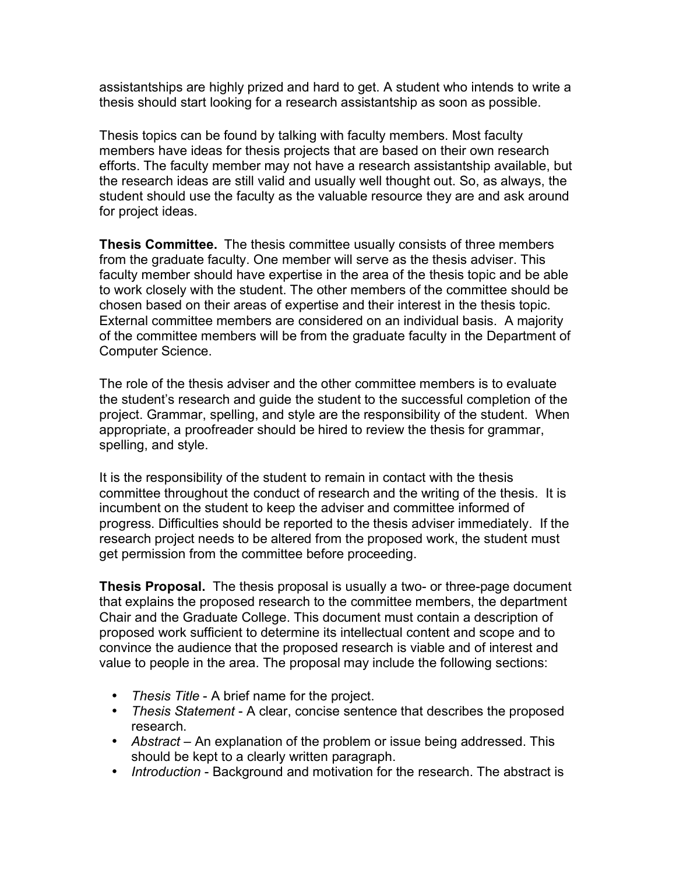assistantships are highly prized and hard to get. A student who intends to write a thesis should start looking for a research assistantship as soon as possible.

Thesis topics can be found by talking with faculty members. Most faculty members have ideas for thesis projects that are based on their own research efforts. The faculty member may not have a research assistantship available, but the research ideas are still valid and usually well thought out. So, as always, the student should use the faculty as the valuable resource they are and ask around for project ideas.

**Thesis Committee.** The thesis committee usually consists of three members from the graduate faculty. One member will serve as the thesis adviser. This faculty member should have expertise in the area of the thesis topic and be able to work closely with the student. The other members of the committee should be chosen based on their areas of expertise and their interest in the thesis topic. External committee members are considered on an individual basis. A majority of the committee members will be from the graduate faculty in the Department of Computer Science.

The role of the thesis adviser and the other committee members is to evaluate the student's research and guide the student to the successful completion of the project. Grammar, spelling, and style are the responsibility of the student. When appropriate, a proofreader should be hired to review the thesis for grammar, spelling, and style.

It is the responsibility of the student to remain in contact with the thesis committee throughout the conduct of research and the writing of the thesis. It is incumbent on the student to keep the adviser and committee informed of progress. Difficulties should be reported to the thesis adviser immediately. If the research project needs to be altered from the proposed work, the student must get permission from the committee before proceeding.

**Thesis Proposal.** The thesis proposal is usually a two- or three-page document that explains the proposed research to the committee members, the department Chair and the Graduate College. This document must contain a description of proposed work sufficient to determine its intellectual content and scope and to convince the audience that the proposed research is viable and of interest and value to people in the area. The proposal may include the following sections:

- *Thesis Title* A brief name for the project.
- *Thesis Statement* A clear, concise sentence that describes the proposed research.
- *Abstract* An explanation of the problem or issue being addressed. This should be kept to a clearly written paragraph.
- *Introduction* Background and motivation for the research. The abstract is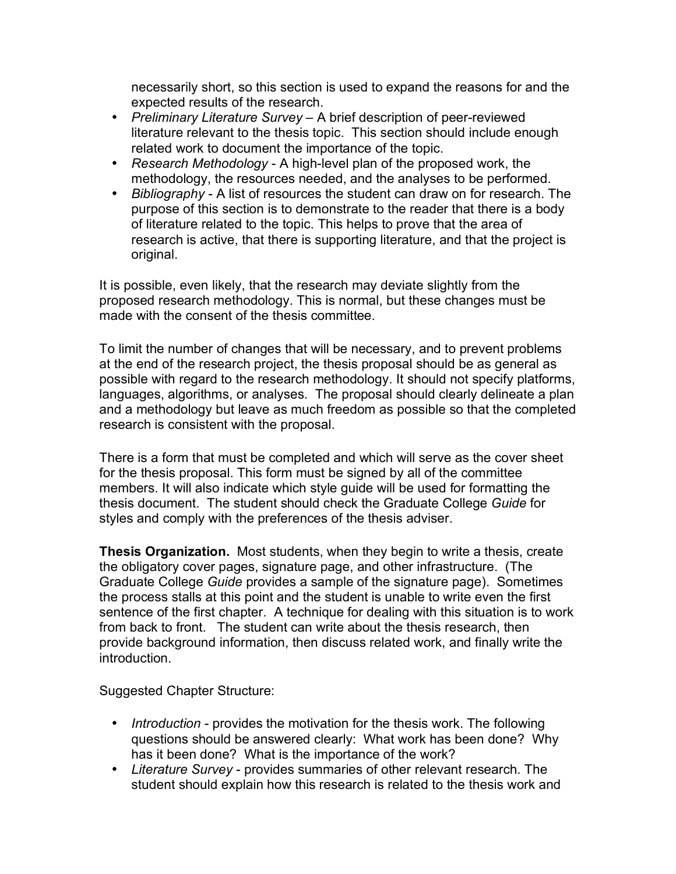necessarily short, so this section is used to expand the reasons for and the expected results of the research.

- *Preliminary Literature Survey* A brief description of peer-reviewed literature relevant to the thesis topic. This section should include enough related work to document the importance of the topic.
- *Research Methodology* A high-level plan of the proposed work, the methodology, the resources needed, and the analyses to be performed.
- *Bibliography* A list of resources the student can draw on for research. The purpose of this section is to demonstrate to the reader that there is a body of literature related to the topic. This helps to prove that the area of research is active, that there is supporting literature, and that the project is original.

It is possible, even likely, that the research may deviate slightly from the proposed research methodology. This is normal, but these changes must be made with the consent of the thesis committee.

To limit the number of changes that will be necessary, and to prevent problems at the end of the research project, the thesis proposal should be as general as possible with regard to the research methodology. It should not specify platforms, languages, algorithms, or analyses. The proposal should clearly delineate a plan and a methodology but leave as much freedom as possible so that the completed research is consistent with the proposal.

There is a form that must be completed and which will serve as the cover sheet for the thesis proposal. This form must be signed by all of the committee members. It will also indicate which style guide will be used for formatting the thesis document. The student should check the Graduate College *Guide* for styles and comply with the preferences of the thesis adviser.

**Thesis Organization.** Most students, when they begin to write a thesis, create the obligatory cover pages, signature page, and other infrastructure. (The Graduate College *Guide* provides a sample of the signature page). Sometimes the process stalls at this point and the student is unable to write even the first sentence of the first chapter. A technique for dealing with this situation is to work from back to front. The student can write about the thesis research, then provide background information, then discuss related work, and finally write the introduction.

Suggested Chapter Structure:

- *Introduction* provides the motivation for the thesis work. The following questions should be answered clearly: What work has been done? Why has it been done? What is the importance of the work?
- *Literature Survey* provides summaries of other relevant research. The student should explain how this research is related to the thesis work and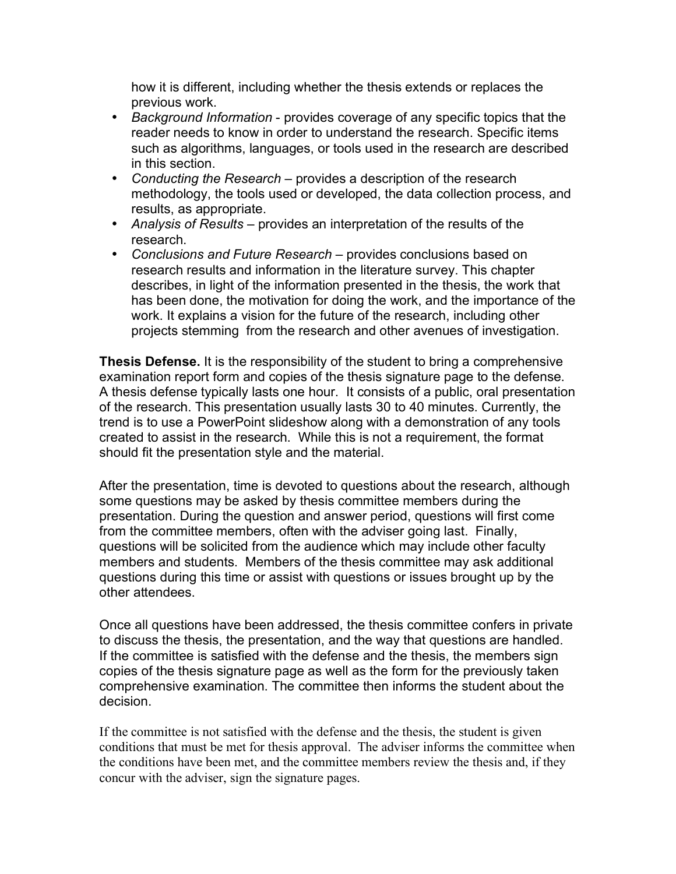how it is different, including whether the thesis extends or replaces the previous work.

- *Background Information* provides coverage of any specific topics that the reader needs to know in order to understand the research. Specific items such as algorithms, languages, or tools used in the research are described in this section.
- *Conducting the Research* provides a description of the research methodology, the tools used or developed, the data collection process, and results, as appropriate.
- *Analysis of Results* provides an interpretation of the results of the research.
- *Conclusions and Future Research* provides conclusions based on research results and information in the literature survey. This chapter describes, in light of the information presented in the thesis, the work that has been done, the motivation for doing the work, and the importance of the work. It explains a vision for the future of the research, including other projects stemming from the research and other avenues of investigation.

**Thesis Defense.** It is the responsibility of the student to bring a comprehensive examination report form and copies of the thesis signature page to the defense. A thesis defense typically lasts one hour. It consists of a public, oral presentation of the research. This presentation usually lasts 30 to 40 minutes. Currently, the trend is to use a PowerPoint slideshow along with a demonstration of any tools created to assist in the research. While this is not a requirement, the format should fit the presentation style and the material.

After the presentation, time is devoted to questions about the research, although some questions may be asked by thesis committee members during the presentation. During the question and answer period, questions will first come from the committee members, often with the adviser going last. Finally, questions will be solicited from the audience which may include other faculty members and students. Members of the thesis committee may ask additional questions during this time or assist with questions or issues brought up by the other attendees.

Once all questions have been addressed, the thesis committee confers in private to discuss the thesis, the presentation, and the way that questions are handled. If the committee is satisfied with the defense and the thesis, the members sign copies of the thesis signature page as well as the form for the previously taken comprehensive examination. The committee then informs the student about the decision.

If the committee is not satisfied with the defense and the thesis, the student is given conditions that must be met for thesis approval. The adviser informs the committee when the conditions have been met, and the committee members review the thesis and, if they concur with the adviser, sign the signature pages.